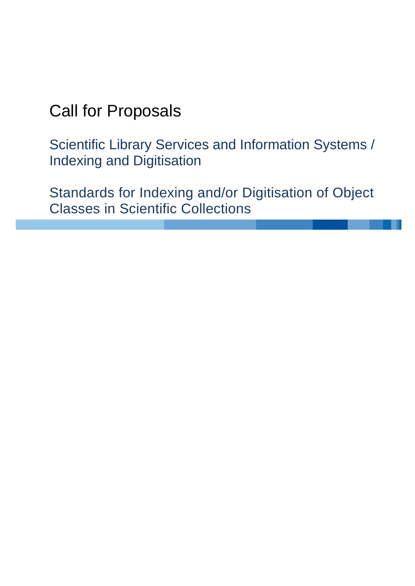# Call for Proposals

Scientific Library Services and Information Systems / Indexing and Digitisation

Standards for Indexing and/or Digitisation of Object Classes in Scientific Collections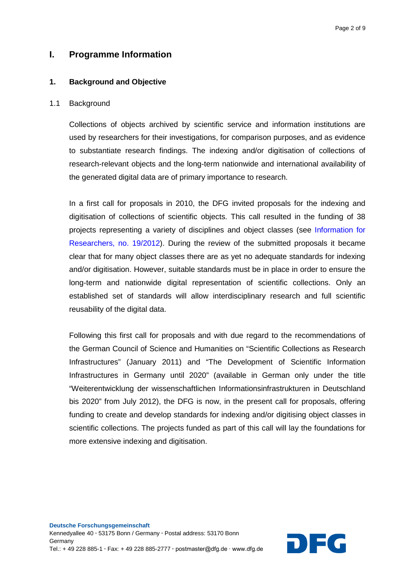## **I. Programme Information**

#### **1. Background and Objective**

#### 1.1 Background

Collections of objects archived by scientific service and information institutions are used by researchers for their investigations, for comparison purposes, and as evidence to substantiate research findings. The indexing and/or digitisation of collections of research-relevant objects and the long-term nationwide and international availability of the generated digital data are of primary importance to research.

In a first call for proposals in 2010, the DFG invited proposals for the indexing and digitisation of collections of scientific objects. This call resulted in the funding of 38 projects representing a variety of disciplines and object classes (see [Information for](http://www.dfg.de/en/research_funding/announcements_proposals/info_wissenschaft_12_19/index.html)  [Researchers, no. 19/2012\)](http://www.dfg.de/en/research_funding/announcements_proposals/info_wissenschaft_12_19/index.html). During the review of the submitted proposals it became clear that for many object classes there are as yet no adequate standards for indexing and/or digitisation. However, suitable standards must be in place in order to ensure the long-term and nationwide digital representation of scientific collections. Only an established set of standards will allow interdisciplinary research and full scientific reusability of the digital data.

Following this first call for proposals and with due regard to the recommendations of the German Council of Science and Humanities on "Scientific Collections as Research Infrastructures" (January 2011) and "The Development of Scientific Information Infrastructures in Germany until 2020" (available in German only under the title "Weiterentwicklung der wissenschaftlichen Informationsinfrastrukturen in Deutschland bis 2020" from July 2012), the DFG is now, in the present call for proposals, offering funding to create and develop standards for indexing and/or digitising object classes in scientific collections. The projects funded as part of this call will lay the foundations for more extensive indexing and digitisation.

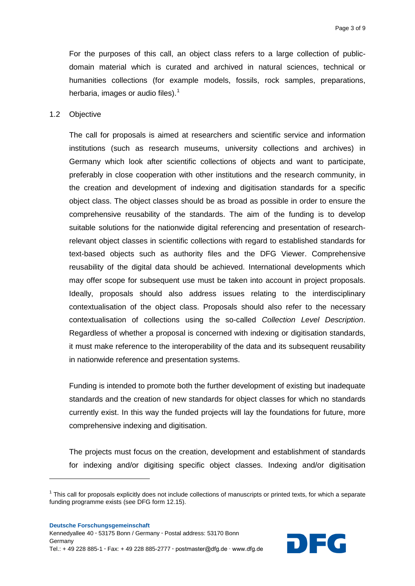For the purposes of this call, an object class refers to a large collection of publicdomain material which is curated and archived in natural sciences, technical or humanities collections (for example models, fossils, rock samples, preparations, herbaria, images or audio files). $<sup>1</sup>$  $<sup>1</sup>$  $<sup>1</sup>$ </sup>

#### 1.2 Objective

**.** 

The call for proposals is aimed at researchers and scientific service and information institutions (such as research museums, university collections and archives) in Germany which look after scientific collections of objects and want to participate, preferably in close cooperation with other institutions and the research community, in the creation and development of indexing and digitisation standards for a specific object class. The object classes should be as broad as possible in order to ensure the comprehensive reusability of the standards. The aim of the funding is to develop suitable solutions for the nationwide digital referencing and presentation of researchrelevant object classes in scientific collections with regard to established standards for text-based objects such as authority files and the DFG Viewer. Comprehensive reusability of the digital data should be achieved. International developments which may offer scope for subsequent use must be taken into account in project proposals. Ideally, proposals should also address issues relating to the interdisciplinary contextualisation of the object class. Proposals should also refer to the necessary contextualisation of collections using the so-called *Collection Level Description*. Regardless of whether a proposal is concerned with indexing or digitisation standards, it must make reference to the interoperability of the data and its subsequent reusability in nationwide reference and presentation systems.

Funding is intended to promote both the further development of existing but inadequate standards and the creation of new standards for object classes for which no standards currently exist. In this way the funded projects will lay the foundations for future, more comprehensive indexing and digitisation.

The projects must focus on the creation, development and establishment of standards for indexing and/or digitising specific object classes. Indexing and/or digitisation



<span id="page-2-0"></span> $1$  This call for proposals explicitly does not include collections of manuscripts or printed texts, for which a separate funding programme exists (see DFG form 12.15).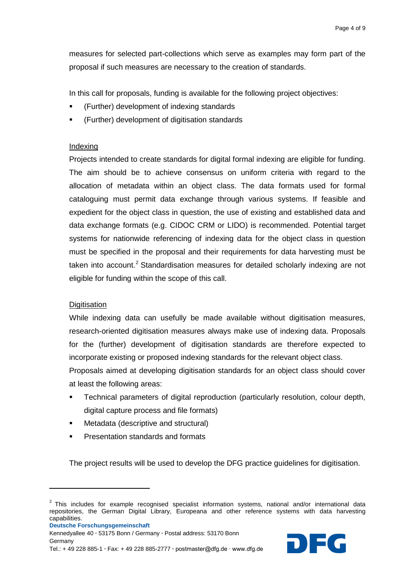measures for selected part-collections which serve as examples may form part of the proposal if such measures are necessary to the creation of standards.

In this call for proposals, funding is available for the following project objectives:

- (Further) development of indexing standards
- (Further) development of digitisation standards

#### Indexing

Projects intended to create standards for digital formal indexing are eligible for funding. The aim should be to achieve consensus on uniform criteria with regard to the allocation of metadata within an object class. The data formats used for formal cataloguing must permit data exchange through various systems. If feasible and expedient for the object class in question, the use of existing and established data and data exchange formats (e.g. CIDOC CRM or LIDO) is recommended. Potential target systems for nationwide referencing of indexing data for the object class in question must be specified in the proposal and their requirements for data harvesting must be taken into account.<sup>[2](#page-3-0)</sup> Standardisation measures for detailed scholarly indexing are not eligible for funding within the scope of this call.

### **Digitisation**

While indexing data can usefully be made available without digitisation measures, research-oriented digitisation measures always make use of indexing data. Proposals for the (further) development of digitisation standards are therefore expected to incorporate existing or proposed indexing standards for the relevant object class.

Proposals aimed at developing digitisation standards for an object class should cover at least the following areas:

- Technical parameters of digital reproduction (particularly resolution, colour depth, digital capture process and file formats)
- Metadata (descriptive and structural)
- Presentation standards and formats

The project results will be used to develop the DFG practice guidelines for digitisation.

 $\overline{a}$ 



Kennedyallee 40 **∙** 53175 Bonn / Germany **∙** Postal address: 53170 Bonn

<span id="page-3-0"></span> $2$  This includes for example recognised specialist information systems, national and/or international data repositories, the German Digital Library, Europeana and other reference systems with data harvesting capabilities.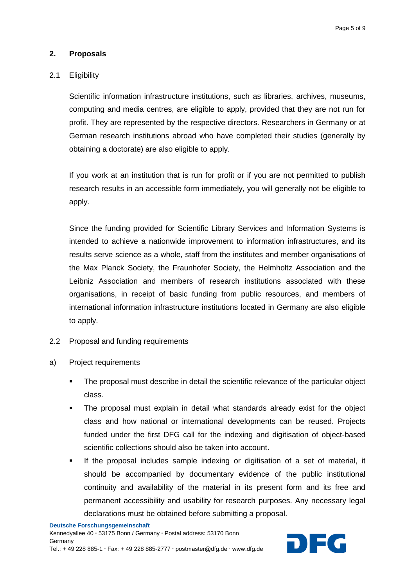#### **2. Proposals**

#### 2.1 Eligibility

Scientific information infrastructure institutions, such as libraries, archives, museums, computing and media centres, are eligible to apply, provided that they are not run for profit. They are represented by the respective directors. Researchers in Germany or at German research institutions abroad who have completed their studies (generally by obtaining a doctorate) are also eligible to apply.

If you work at an institution that is run for profit or if you are not permitted to publish research results in an accessible form immediately, you will generally not be eligible to apply.

Since the funding provided for Scientific Library Services and Information Systems is intended to achieve a nationwide improvement to information infrastructures, and its results serve science as a whole, staff from the institutes and member organisations of the Max Planck Society, the Fraunhofer Society, the Helmholtz Association and the Leibniz Association and members of research institutions associated with these organisations, in receipt of basic funding from public resources, and members of international information infrastructure institutions located in Germany are also eligible to apply.

- 2.2 Proposal and funding requirements
- a) Project requirements
	- The proposal must describe in detail the scientific relevance of the particular object class.
	- The proposal must explain in detail what standards already exist for the object class and how national or international developments can be reused. Projects funded under the first DFG call for the indexing and digitisation of object-based scientific collections should also be taken into account.
	- If the proposal includes sample indexing or digitisation of a set of material, it should be accompanied by documentary evidence of the public institutional continuity and availability of the material in its present form and its free and permanent accessibility and usability for research purposes. Any necessary legal declarations must be obtained before submitting a proposal.

**Deutsche Forschungsgemeinschaft**

Kennedyallee 40 **∙** 53175 Bonn / Germany **∙** Postal address: 53170 Bonn Germany **Tel.: + 49 228 885-1 ⋅ Fax: + 49 228 885-2777 ⋅ postmaster@dfg.de ⋅ www.dfg.de** 

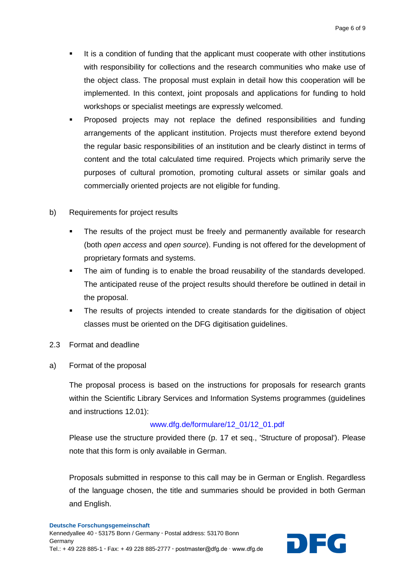- It is a condition of funding that the applicant must cooperate with other institutions with responsibility for collections and the research communities who make use of the object class. The proposal must explain in detail how this cooperation will be implemented. In this context, joint proposals and applications for funding to hold workshops or specialist meetings are expressly welcomed.
- Proposed projects may not replace the defined responsibilities and funding arrangements of the applicant institution. Projects must therefore extend beyond the regular basic responsibilities of an institution and be clearly distinct in terms of content and the total calculated time required. Projects which primarily serve the purposes of cultural promotion, promoting cultural assets or similar goals and commercially oriented projects are not eligible for funding.
- b) Requirements for project results
	- The results of the project must be freely and permanently available for research (both *open access* and *open source*). Funding is not offered for the development of proprietary formats and systems.
	- The aim of funding is to enable the broad reusability of the standards developed. The anticipated reuse of the project results should therefore be outlined in detail in the proposal.
	- The results of projects intended to create standards for the digitisation of object classes must be oriented on the DFG digitisation guidelines.
- 2.3 Format and deadline
- a) Format of the proposal

The proposal process is based on the instructions for proposals for research grants within the Scientific Library Services and Information Systems programmes (guidelines and instructions 12.01):

#### [www.dfg.de/formulare/12\\_01/12\\_01.pdf](http://www.dfg.de/formulare/12_01/12_01.pdf)

Please use the structure provided there (p. 17 et seq., 'Structure of proposal'). Please note that this form is only available in German.

Proposals submitted in response to this call may be in German or English. Regardless of the language chosen, the title and summaries should be provided in both German and English.

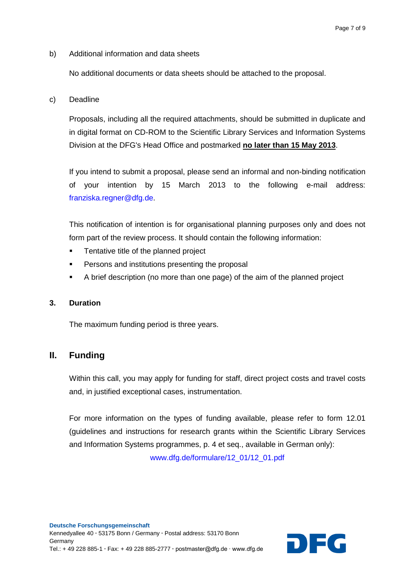b) Additional information and data sheets

No additional documents or data sheets should be attached to the proposal.

c) Deadline

Proposals, including all the required attachments, should be submitted in duplicate and in digital format on CD-ROM to the Scientific Library Services and Information Systems Division at the DFG's Head Office and postmarked **no later than 15 May 2013**.

If you intend to submit a proposal, please send an informal and non-binding notification of your intention by 15 March 2013 to the following e-mail address: [franziska.regner@dfg.de.](mailto:franziska.regner@dfg.de)

This notification of intention is for organisational planning purposes only and does not form part of the review process. It should contain the following information:

- **Tentative title of the planned project**
- Persons and institutions presenting the proposal
- A brief description (no more than one page) of the aim of the planned project

## **3. Duration**

The maximum funding period is three years.

# **II. Funding**

Within this call, you may apply for funding for staff, direct project costs and travel costs and, in justified exceptional cases, instrumentation.

For more information on the types of funding available, please refer to form 12.01 (guidelines and instructions for research grants within the Scientific Library Services and Information Systems programmes, p. 4 et seq., available in German only):

[www.dfg.de/formulare/12\\_01/12\\_01.pdf](http://www.dfg.de/formulare/12_01/12_01.pdf)

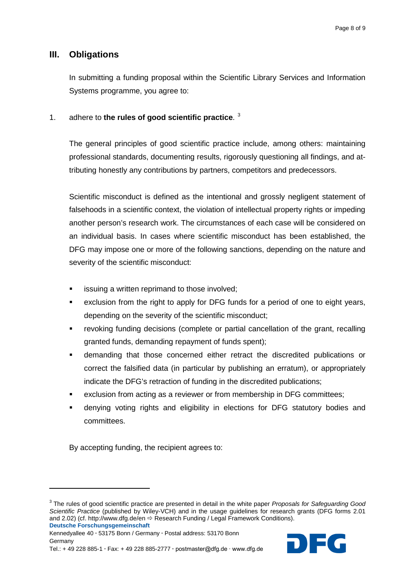## **III. Obligations**

In submitting a funding proposal within the Scientific Library Services and Information Systems programme, you agree to:

#### 1. adhere to **the rules of good scientific practice**. [3](#page-7-0)

The general principles of good scientific practice include, among others: maintaining professional standards, documenting results, rigorously questioning all findings, and attributing honestly any contributions by partners, competitors and predecessors.

Scientific misconduct is defined as the intentional and grossly negligent statement of falsehoods in a scientific context, the violation of intellectual property rights or impeding another person's research work. The circumstances of each case will be considered on an individual basis. In cases where scientific misconduct has been established, the DFG may impose one or more of the following sanctions, depending on the nature and severity of the scientific misconduct:

- issuing a written reprimand to those involved;
- exclusion from the right to apply for DFG funds for a period of one to eight years, depending on the severity of the scientific misconduct;
- revoking funding decisions (complete or partial cancellation of the grant, recalling granted funds, demanding repayment of funds spent);
- demanding that those concerned either retract the discredited publications or correct the falsified data (in particular by publishing an erratum), or appropriately indicate the DFG's retraction of funding in the discredited publications;
- exclusion from acting as a reviewer or from membership in DFG committees;
- denying voting rights and eligibility in elections for DFG statutory bodies and committees.

By accepting funding, the recipient agrees to:

 $\overline{a}$ 

<span id="page-7-0"></span>**Deutsche Forschungsgemeinschaft** <sup>3</sup> The rules of good scientific practice are presented in detail in the white paper *Proposals for Safeguarding Good Scientific Practice* (published by Wiley-VCH) and in the usage guidelines for research grants (DFG forms 2.01 and 2.02) (cf. http://www.dfg.de/en  $\Rightarrow$  Research Funding / Legal Framework Conditions).